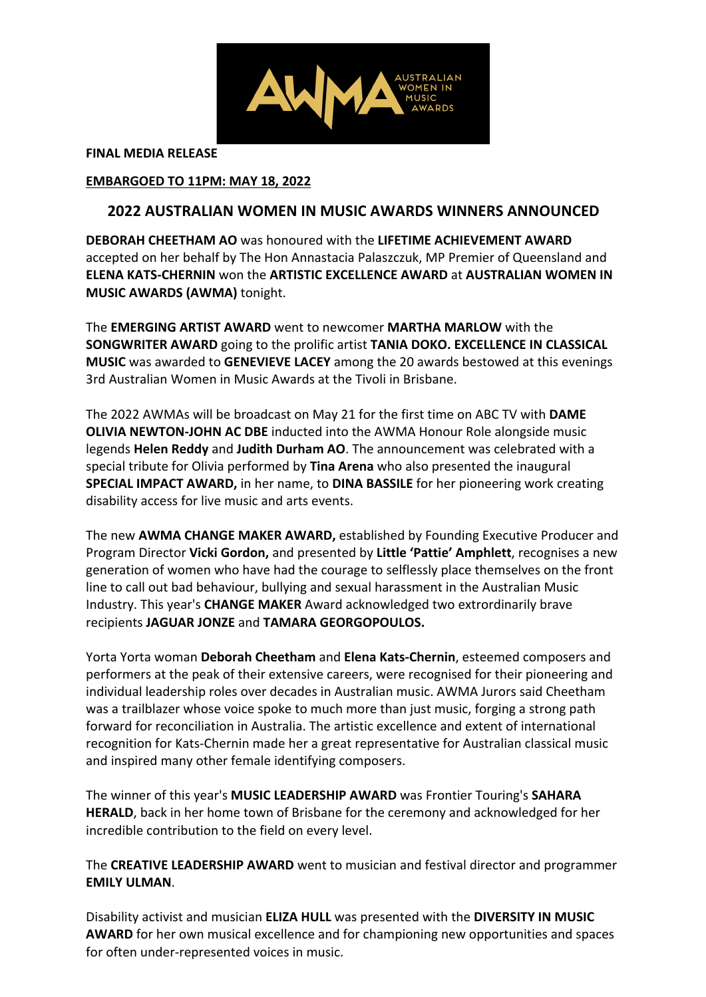

**FINAL MEDIA RELEASE**

#### **EMBARGOED TO 11PM: MAY 18, 2022**

# **2022 AUSTRALIAN WOMEN IN MUSIC AWARDS WINNERS ANNOUNCED**

**DEBORAH CHEETHAM AO** was honoured with the **LIFETIME ACHIEVEMENT AWARD** accepted on her behalf by The Hon Annastacia Palaszczuk, MP Premier of Queensland and **ELENA KATS-CHERNIN** won the **ARTISTIC EXCELLENCE AWARD** at **AUSTRALIAN WOMEN IN MUSIC AWARDS (AWMA)** tonight.

The **EMERGING ARTIST AWARD** went to newcomer **MARTHA MARLOW** with the **SONGWRITER AWARD** going to the prolific artist **TANIA DOKO. EXCELLENCE IN CLASSICAL MUSIC** was awarded to **GENEVIEVE LACEY** among the 20 awards bestowed at this evenings 3rd Australian Women in Music Awards at the Tivoli in Brisbane.

The 2022 AWMAs will be broadcast on May 21 for the first time on ABC TV with **DAME OLIVIA NEWTON-JOHN AC DBE** inducted into the AWMA Honour Role alongside music legends **Helen Reddy** and **Judith Durham AO**. The announcement was celebrated with a special tribute for Olivia performed by **Tina Arena** who also presented the inaugural **SPECIAL IMPACT AWARD,** in her name, to **DINA BASSILE** for her pioneering work creating disability access for live music and arts events.

The new **AWMA CHANGE MAKER AWARD,** established by Founding Executive Producer and Program Director **Vicki Gordon,** and presented by **Little 'Pattie' Amphlett**, recognises a new generation of women who have had the courage to selflessly place themselves on the front line to call out bad behaviour, bullying and sexual harassment in the Australian Music Industry. This year's **CHANGE MAKER** Award acknowledged two extrordinarily brave recipients **JAGUAR JONZE** and **TAMARA GEORGOPOULOS.** 

Yorta Yorta woman **Deborah Cheetham** and **Elena Kats-Chernin**, esteemed composers and performers at the peak of their extensive careers, were recognised for their pioneering and individual leadership roles over decades in Australian music. AWMA Jurors said Cheetham was a trailblazer whose voice spoke to much more than just music, forging a strong path forward for reconciliation in Australia. The artistic excellence and extent of international recognition for Kats-Chernin made her a great representative for Australian classical music and inspired many other female identifying composers.

The winner of this year's **MUSIC LEADERSHIP AWARD** was Frontier Touring's **SAHARA HERALD**, back in her home town of Brisbane for the ceremony and acknowledged for her incredible contribution to the field on every level.

The **CREATIVE LEADERSHIP AWARD** went to musician and festival director and programmer **EMILY ULMAN**.

Disability activist and musician **ELIZA HULL** was presented with the **DIVERSITY IN MUSIC AWARD** for her own musical excellence and for championing new opportunities and spaces for often under-represented voices in music.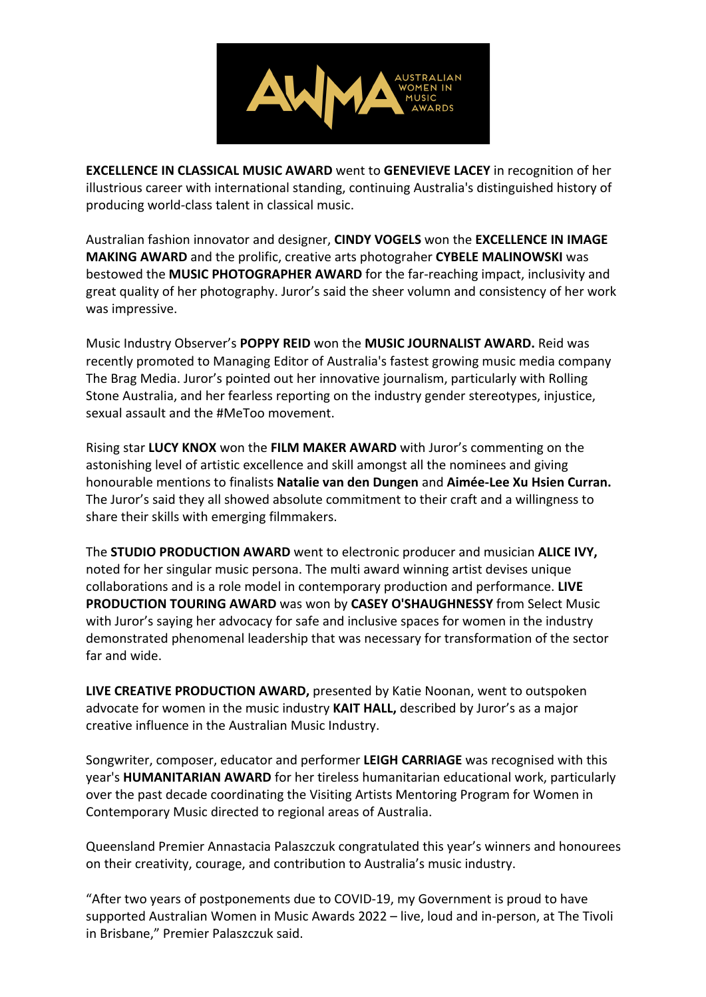

**EXCELLENCE IN CLASSICAL MUSIC AWARD** went to **GENEVIEVE LACEY** in recognition of her illustrious career with international standing, continuing Australia's distinguished history of producing world-class talent in classical music.

Australian fashion innovator and designer, **CINDY VOGELS** won the **EXCELLENCE IN IMAGE MAKING AWARD** and the prolific, creative arts photograher **CYBELE MALINOWSKI** was bestowed the **MUSIC PHOTOGRAPHER AWARD** for the far-reaching impact, inclusivity and great quality of her photography. Juror's said the sheer volumn and consistency of her work was impressive.

Music Industry Observer's **POPPY REID** won the **MUSIC JOURNALIST AWARD.** Reid was recently promoted to Managing Editor of Australia's fastest growing music media company The Brag Media. Juror's pointed out her innovative journalism, particularly with Rolling Stone Australia, and her fearless reporting on the industry gender stereotypes, injustice, sexual assault and the #MeToo movement.

Rising star **LUCY KNOX** won the **FILM MAKER AWARD** with Juror's commenting on the astonishing level of artistic excellence and skill amongst all the nominees and giving honourable mentions to finalists **Natalie van den Dungen** and **Aimée-Lee Xu Hsien Curran.**  The Juror's said they all showed absolute commitment to their craft and a willingness to share their skills with emerging filmmakers.

The **STUDIO PRODUCTION AWARD** went to electronic producer and musician **ALICE IVY,**  noted for her singular music persona. The multi award winning artist devises unique collaborations and is a role model in contemporary production and performance. **LIVE PRODUCTION TOURING AWARD** was won by **CASEY O'SHAUGHNESSY** from Select Music with Juror's saying her advocacy for safe and inclusive spaces for women in the industry demonstrated phenomenal leadership that was necessary for transformation of the sector far and wide.

**LIVE CREATIVE PRODUCTION AWARD,** presented by Katie Noonan, went to outspoken advocate for women in the music industry **KAIT HALL,** described by Juror's as a major creative influence in the Australian Music Industry.

Songwriter, composer, educator and performer **LEIGH CARRIAGE** was recognised with this year's **HUMANITARIAN AWARD** for her tireless humanitarian educational work, particularly over the past decade coordinating the Visiting Artists Mentoring Program for Women in Contemporary Music directed to regional areas of Australia.

Queensland Premier Annastacia Palaszczuk congratulated this year's winners and honourees on their creativity, courage, and contribution to Australia's music industry.

"After two years of postponements due to COVID-19, my Government is proud to have supported Australian Women in Music Awards 2022 – live, loud and in-person, at The Tivoli in Brisbane," Premier Palaszczuk said.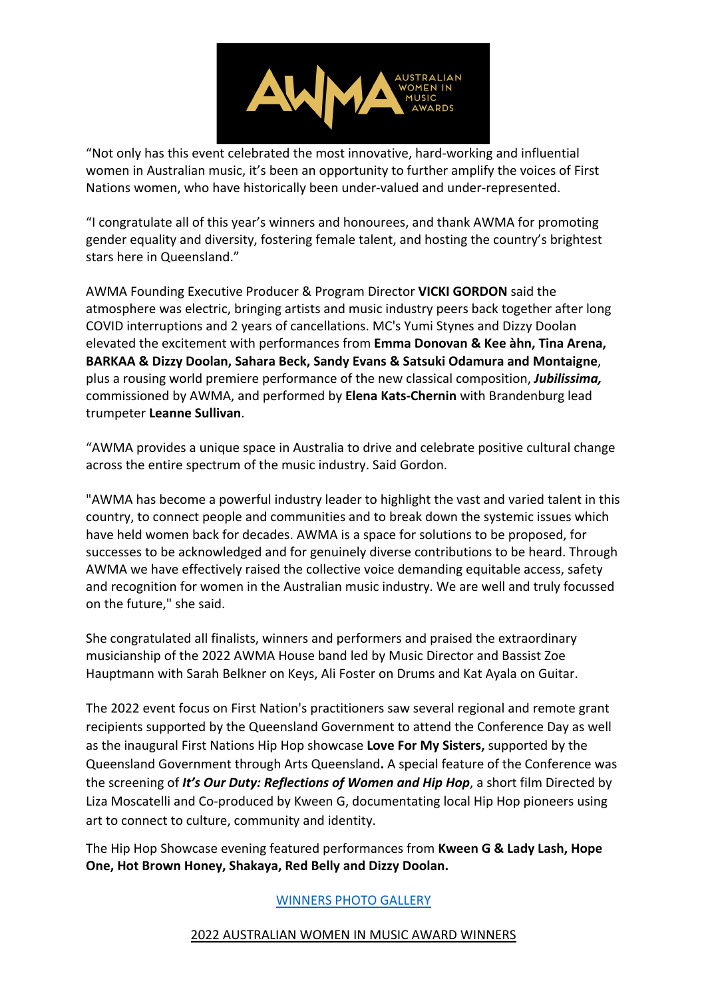

"Not only has this event celebrated the most innovative, hard-working and influential women in Australian music, it's been an opportunity to further amplify the voices of First Nations women, who have historically been under-valued and under-represented.

"I congratulate all of this year's winners and honourees, and thank AWMA for promoting gender equality and diversity, fostering female talent, and hosting the country's brightest stars here in Queensland."

AWMA Founding Executive Producer & Program Director **VICKI GORDON** said the atmosphere was electric, bringing artists and music industry peers back together after long COVID interruptions and 2 years of cancellations. MC's Yumi Stynes and Dizzy Doolan elevated the excitement with performances from **Emma Donovan & Kee àhn, Tina Arena, BARKAA & Dizzy Doolan, Sahara Beck, Sandy Evans & Satsuki Odamura and Montaigne**, plus a rousing world premiere performance of the new classical composition, *Jubilissima,* commissioned by AWMA, and performed by **Elena Kats-Chernin** with Brandenburg lead trumpeter **Leanne Sullivan**.

"AWMA provides a unique space in Australia to drive and celebrate positive cultural change across the entire spectrum of the music industry. Said Gordon.

"AWMA has become a powerful industry leader to highlight the vast and varied talent in this country, to connect people and communities and to break down the systemic issues which have held women back for decades. AWMA is a space for solutions to be proposed, for successes to be acknowledged and for genuinely diverse contributions to be heard. Through AWMA we have effectively raised the collective voice demanding equitable access, safety and recognition for women in the Australian music industry. We are well and truly focussed on the future," she said.

She congratulated all finalists, winners and performers and praised the extraordinary musicianship of the 2022 AWMA House band led by Music Director and Bassist Zoe Hauptmann with Sarah Belkner on Keys, Ali Foster on Drums and Kat Ayala on Guitar.

The 2022 event focus on First Nation's practitioners saw several regional and remote grant recipients supported by the Queensland Government to attend the Conference Day as well as the inaugural First Nations Hip Hop showcase **Love For My Sisters,** supported by the Queensland Government through Arts Queensland**.** A special feature of the Conference was the screening of *It's Our Duty: Reflections of Women and Hip Hop*, a short film Directed by Liza Moscatelli and Co-produced by Kween G, documentating local Hip Hop pioneers using art to connect to culture, community and identity.

The Hip Hop Showcase evening featured performances from **Kween G & Lady Lash, Hope One, Hot Brown Honey, Shakaya, Red Belly and Dizzy Doolan.** 

# WINNERS PHOTO GALLERY

#### 2022 AUSTRALIAN WOMEN IN MUSIC AWARD WINNERS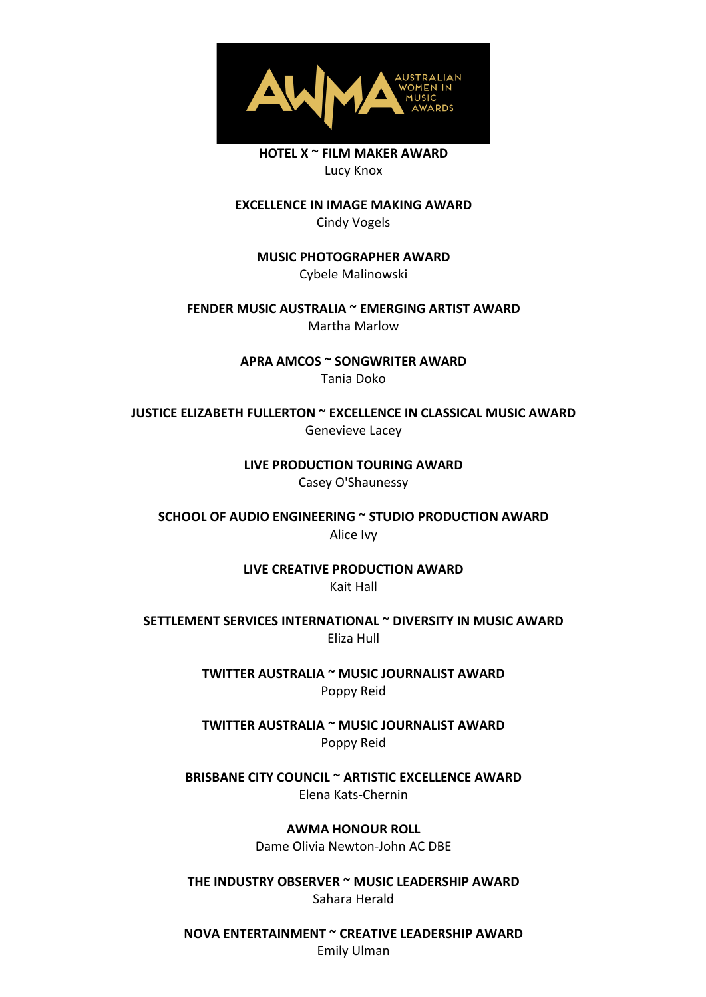

**HOTEL X ~ FILM MAKER AWARD** Lucy Knox

**EXCELLENCE IN IMAGE MAKING AWARD** Cindy Vogels

**MUSIC PHOTOGRAPHER AWARD** Cybele Malinowski

**FENDER MUSIC AUSTRALIA ~ EMERGING ARTIST AWARD** Martha Marlow

> **APRA AMCOS ~ SONGWRITER AWARD** Tania Doko

**JUSTICE ELIZABETH FULLERTON ~ EXCELLENCE IN CLASSICAL MUSIC AWARD** Genevieve Lacey

> **LIVE PRODUCTION TOURING AWARD** Casey O'Shaunessy

**SCHOOL OF AUDIO ENGINEERING ~ STUDIO PRODUCTION AWARD** Alice Ivy

> **LIVE CREATIVE PRODUCTION AWARD** Kait Hall

**SETTLEMENT SERVICES INTERNATIONAL ~ DIVERSITY IN MUSIC AWARD** Eliza Hull

> **TWITTER AUSTRALIA ~ MUSIC JOURNALIST AWARD** Poppy Reid

> **TWITTER AUSTRALIA ~ MUSIC JOURNALIST AWARD** Poppy Reid

**BRISBANE CITY COUNCIL ~ ARTISTIC EXCELLENCE AWARD** Elena Kats-Chernin

**AWMA HONOUR ROLL**

Dame Olivia Newton-John AC DBE

**THE INDUSTRY OBSERVER ~ MUSIC LEADERSHIP AWARD** Sahara Herald

**NOVA ENTERTAINMENT ~ CREATIVE LEADERSHIP AWARD** Emily Ulman